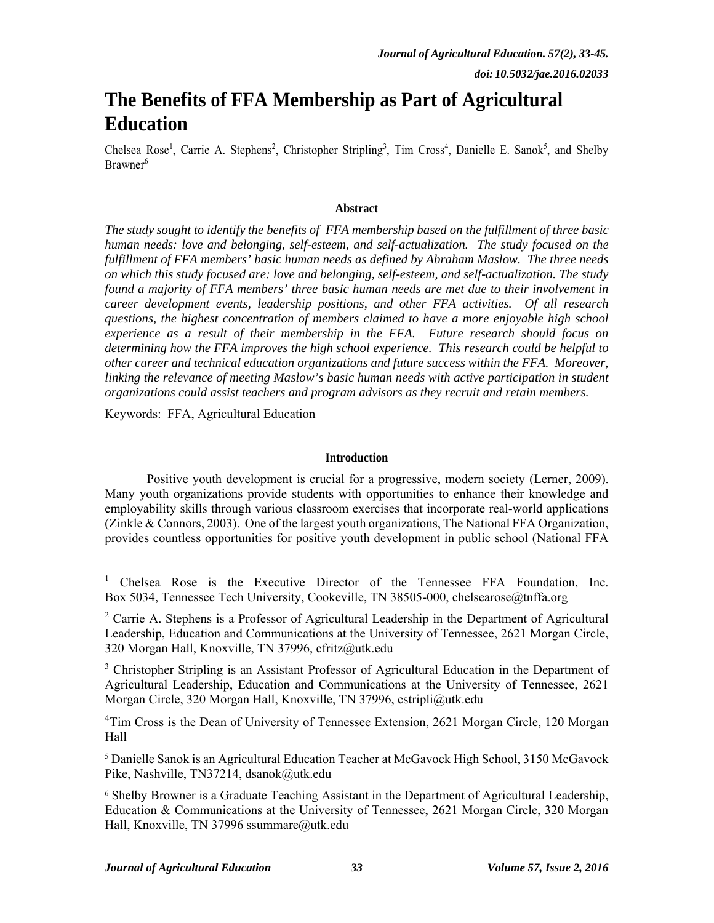# **The Benefits of FFA Membership as Part of Agricultural Education**

Chelsea Rose<sup>1</sup>, Carrie A. Stephens<sup>2</sup>, Christopher Stripling<sup>3</sup>, Tim Cross<sup>4</sup>, Danielle E. Sanok<sup>5</sup>, and Shelby Brawner<sup>6</sup>

## **Abstract**

*The study sought to identify the benefits of FFA membership based on the fulfillment of three basic human needs: love and belonging, self-esteem, and self-actualization. The study focused on the fulfillment of FFA members' basic human needs as defined by Abraham Maslow. The three needs on which this study focused are: love and belonging, self-esteem, and self-actualization. The study found a majority of FFA members' three basic human needs are met due to their involvement in career development events, leadership positions, and other FFA activities. Of all research questions, the highest concentration of members claimed to have a more enjoyable high school experience as a result of their membership in the FFA. Future research should focus on determining how the FFA improves the high school experience. This research could be helpful to other career and technical education organizations and future success within the FFA. Moreover,*  linking the relevance of meeting Maslow's basic human needs with active participation in student *organizations could assist teachers and program advisors as they recruit and retain members.* 

Keywords: FFA, Agricultural Education

-

## **Introduction**

Positive youth development is crucial for a progressive, modern society (Lerner, 2009). Many youth organizations provide students with opportunities to enhance their knowledge and employability skills through various classroom exercises that incorporate real-world applications (Zinkle & Connors, 2003). One of the largest youth organizations, The National FFA Organization, provides countless opportunities for positive youth development in public school (National FFA

<sup>&</sup>lt;sup>1</sup> Chelsea Rose is the Executive Director of the Tennessee FFA Foundation, Inc. Box 5034, Tennessee Tech University, Cookeville, TN 38505-000, chelsearose@tnffa.org

 $2^2$  Carrie A. Stephens is a Professor of Agricultural Leadership in the Department of Agricultural Leadership, Education and Communications at the University of Tennessee, 2621 Morgan Circle, 320 Morgan Hall, Knoxville, TN 37996, cfritz@utk.edu

<sup>&</sup>lt;sup>3</sup> Christopher Stripling is an Assistant Professor of Agricultural Education in the Department of Agricultural Leadership, Education and Communications at the University of Tennessee, 2621 Morgan Circle, 320 Morgan Hall, Knoxville, TN 37996, cstripli@utk.edu

<sup>&</sup>lt;sup>4</sup>Tim Cross is the Dean of University of Tennessee Extension, 2621 Morgan Circle, 120 Morgan Hall

<sup>5</sup> Danielle Sanok is an Agricultural Education Teacher at McGavock High School, 3150 McGavock Pike, Nashville, TN37214, dsanok@utk.edu

<sup>6</sup> Shelby Browner is a Graduate Teaching Assistant in the Department of Agricultural Leadership, Education & Communications at the University of Tennessee, 2621 Morgan Circle, 320 Morgan Hall, Knoxville, TN 37996 ssummare@utk.edu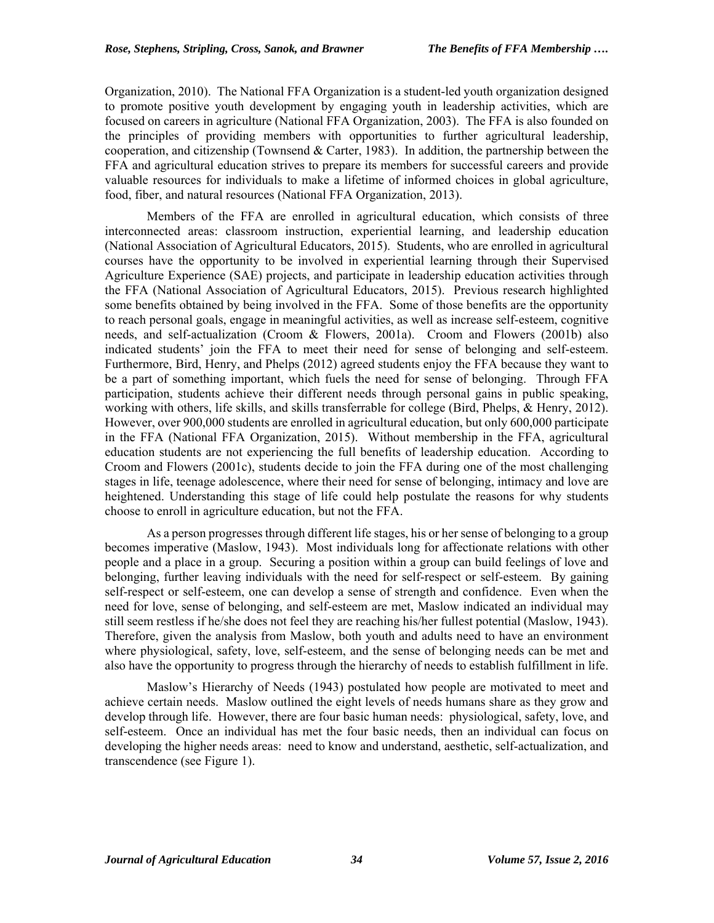Organization, 2010). The National FFA Organization is a student-led youth organization designed to promote positive youth development by engaging youth in leadership activities, which are focused on careers in agriculture (National FFA Organization, 2003). The FFA is also founded on the principles of providing members with opportunities to further agricultural leadership, cooperation, and citizenship (Townsend & Carter, 1983). In addition, the partnership between the FFA and agricultural education strives to prepare its members for successful careers and provide valuable resources for individuals to make a lifetime of informed choices in global agriculture, food, fiber, and natural resources (National FFA Organization, 2013).

Members of the FFA are enrolled in agricultural education, which consists of three interconnected areas: classroom instruction, experiential learning, and leadership education (National Association of Agricultural Educators, 2015). Students, who are enrolled in agricultural courses have the opportunity to be involved in experiential learning through their Supervised Agriculture Experience (SAE) projects, and participate in leadership education activities through the FFA (National Association of Agricultural Educators, 2015). Previous research highlighted some benefits obtained by being involved in the FFA. Some of those benefits are the opportunity to reach personal goals, engage in meaningful activities, as well as increase self-esteem, cognitive needs, and self-actualization (Croom & Flowers, 2001a). Croom and Flowers (2001b) also indicated students' join the FFA to meet their need for sense of belonging and self-esteem. Furthermore, Bird, Henry, and Phelps (2012) agreed students enjoy the FFA because they want to be a part of something important, which fuels the need for sense of belonging. Through FFA participation, students achieve their different needs through personal gains in public speaking, working with others, life skills, and skills transferrable for college (Bird, Phelps, & Henry, 2012). However, over 900,000 students are enrolled in agricultural education, but only 600,000 participate in the FFA (National FFA Organization, 2015). Without membership in the FFA, agricultural education students are not experiencing the full benefits of leadership education. According to Croom and Flowers (2001c), students decide to join the FFA during one of the most challenging stages in life, teenage adolescence, where their need for sense of belonging, intimacy and love are heightened. Understanding this stage of life could help postulate the reasons for why students choose to enroll in agriculture education, but not the FFA.

As a person progresses through different life stages, his or her sense of belonging to a group becomes imperative (Maslow, 1943). Most individuals long for affectionate relations with other people and a place in a group. Securing a position within a group can build feelings of love and belonging, further leaving individuals with the need for self-respect or self-esteem. By gaining self-respect or self-esteem, one can develop a sense of strength and confidence. Even when the need for love, sense of belonging, and self-esteem are met, Maslow indicated an individual may still seem restless if he/she does not feel they are reaching his/her fullest potential (Maslow, 1943). Therefore, given the analysis from Maslow, both youth and adults need to have an environment where physiological, safety, love, self-esteem, and the sense of belonging needs can be met and also have the opportunity to progress through the hierarchy of needs to establish fulfillment in life.

Maslow's Hierarchy of Needs (1943) postulated how people are motivated to meet and achieve certain needs. Maslow outlined the eight levels of needs humans share as they grow and develop through life. However, there are four basic human needs: physiological, safety, love, and self-esteem. Once an individual has met the four basic needs, then an individual can focus on developing the higher needs areas: need to know and understand, aesthetic, self-actualization, and transcendence (see Figure 1).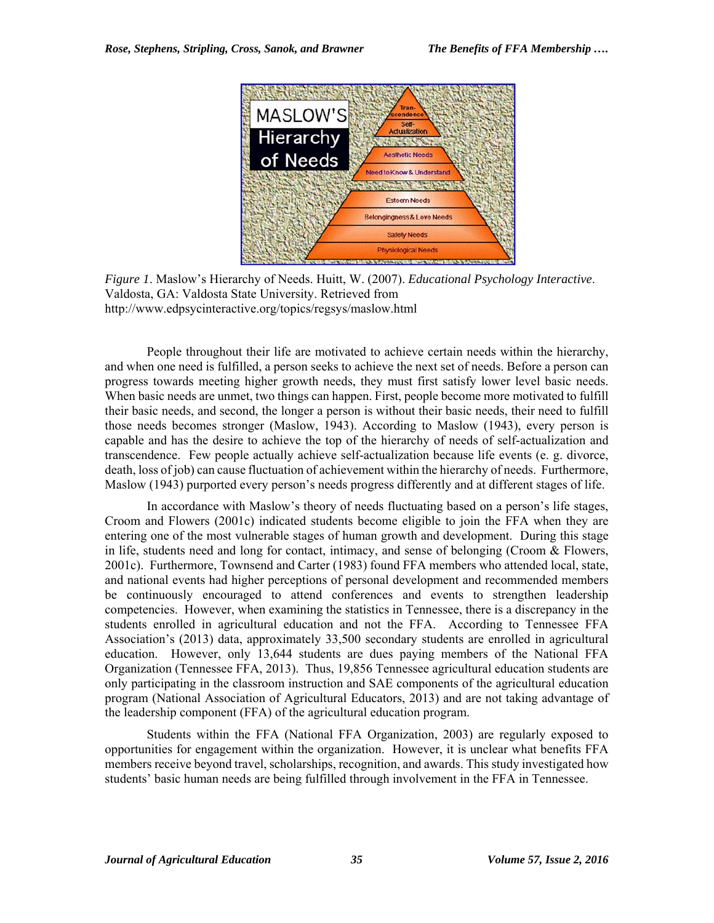

*Figure 1*. Maslow's Hierarchy of Needs. Huitt, W. (2007). *Educational Psychology Interactive*. Valdosta, GA: Valdosta State University. Retrieved from http://www.edpsycinteractive.org/topics/regsys/maslow.html

People throughout their life are motivated to achieve certain needs within the hierarchy, and when one need is fulfilled, a person seeks to achieve the next set of needs. Before a person can progress towards meeting higher growth needs, they must first satisfy lower level basic needs. When basic needs are unmet, two things can happen. First, people become more motivated to fulfill their basic needs, and second, the longer a person is without their basic needs, their need to fulfill those needs becomes stronger (Maslow, 1943). According to Maslow (1943), every person is capable and has the desire to achieve the top of the hierarchy of needs of self-actualization and transcendence. Few people actually achieve self-actualization because life events (e. g. divorce, death, loss of job) can cause fluctuation of achievement within the hierarchy of needs. Furthermore, Maslow (1943) purported every person's needs progress differently and at different stages of life.

In accordance with Maslow's theory of needs fluctuating based on a person's life stages, Croom and Flowers (2001c) indicated students become eligible to join the FFA when they are entering one of the most vulnerable stages of human growth and development. During this stage in life, students need and long for contact, intimacy, and sense of belonging (Croom & Flowers, 2001c). Furthermore, Townsend and Carter (1983) found FFA members who attended local, state, and national events had higher perceptions of personal development and recommended members be continuously encouraged to attend conferences and events to strengthen leadership competencies. However, when examining the statistics in Tennessee, there is a discrepancy in the students enrolled in agricultural education and not the FFA. According to Tennessee FFA Association's (2013) data, approximately 33,500 secondary students are enrolled in agricultural education. However, only 13,644 students are dues paying members of the National FFA Organization (Tennessee FFA, 2013). Thus, 19,856 Tennessee agricultural education students are only participating in the classroom instruction and SAE components of the agricultural education program (National Association of Agricultural Educators, 2013) and are not taking advantage of the leadership component (FFA) of the agricultural education program.

Students within the FFA (National FFA Organization, 2003) are regularly exposed to opportunities for engagement within the organization. However, it is unclear what benefits FFA members receive beyond travel, scholarships, recognition, and awards. This study investigated how students' basic human needs are being fulfilled through involvement in the FFA in Tennessee.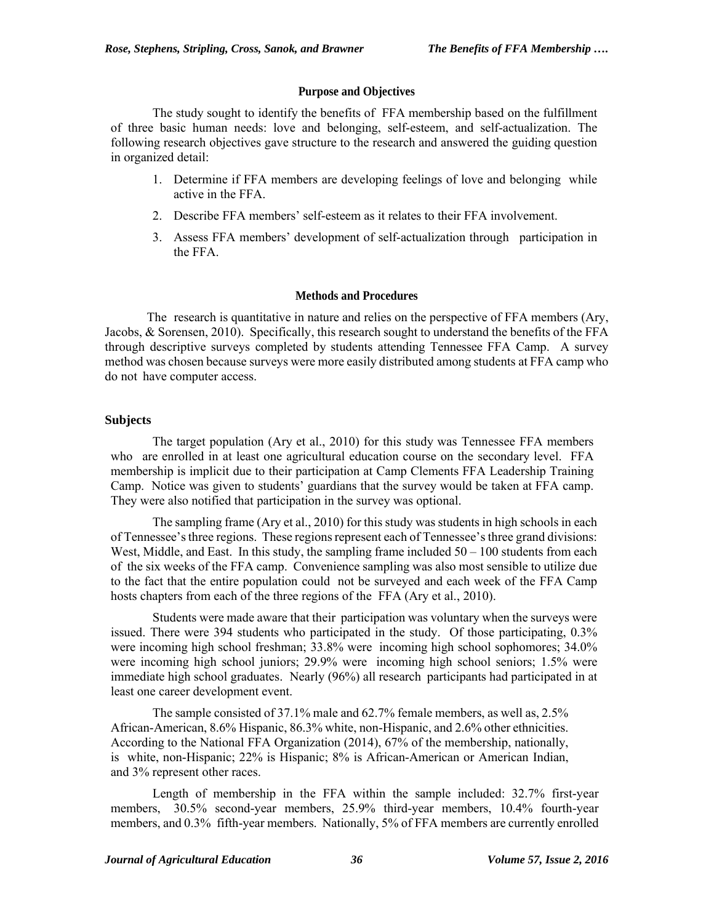#### **Purpose and Objectives**

The study sought to identify the benefits of FFA membership based on the fulfillment of three basic human needs: love and belonging, self-esteem, and self-actualization. The following research objectives gave structure to the research and answered the guiding question in organized detail:

- 1. Determine if FFA members are developing feelings of love and belonging while active in the FFA.
- 2. Describe FFA members' self-esteem as it relates to their FFA involvement.
- 3. Assess FFA members' development of self-actualization through participation in the FFA.

#### **Methods and Procedures**

The research is quantitative in nature and relies on the perspective of FFA members (Ary, Jacobs, & Sorensen, 2010). Specifically, this research sought to understand the benefits of the FFA through descriptive surveys completed by students attending Tennessee FFA Camp. A survey method was chosen because surveys were more easily distributed among students at FFA camp who do not have computer access.

#### **Subjects**

The target population (Ary et al., 2010) for this study was Tennessee FFA members who are enrolled in at least one agricultural education course on the secondary level. FFA membership is implicit due to their participation at Camp Clements FFA Leadership Training Camp. Notice was given to students' guardians that the survey would be taken at FFA camp. They were also notified that participation in the survey was optional.

The sampling frame (Ary et al., 2010) for this study was students in high schools in each of Tennessee's three regions. These regions represent each of Tennessee's three grand divisions: West, Middle, and East. In this study, the sampling frame included  $50 - 100$  students from each of the six weeks of the FFA camp. Convenience sampling was also most sensible to utilize due to the fact that the entire population could not be surveyed and each week of the FFA Camp hosts chapters from each of the three regions of the FFA (Ary et al., 2010).

Students were made aware that their participation was voluntary when the surveys were issued. There were 394 students who participated in the study. Of those participating, 0.3% were incoming high school freshman; 33.8% were incoming high school sophomores; 34.0% were incoming high school juniors; 29.9% were incoming high school seniors; 1.5% were immediate high school graduates. Nearly (96%) all research participants had participated in at least one career development event.

The sample consisted of 37.1% male and 62.7% female members, as well as, 2.5% African-American, 8.6% Hispanic, 86.3% white, non-Hispanic, and 2.6% other ethnicities. According to the National FFA Organization (2014), 67% of the membership, nationally, is white, non-Hispanic; 22% is Hispanic; 8% is African-American or American Indian, and 3% represent other races.

Length of membership in the FFA within the sample included: 32.7% first-year members, 30.5% second-year members, 25.9% third-year members, 10.4% fourth-year members, and 0.3% fifth-year members. Nationally, 5% of FFA members are currently enrolled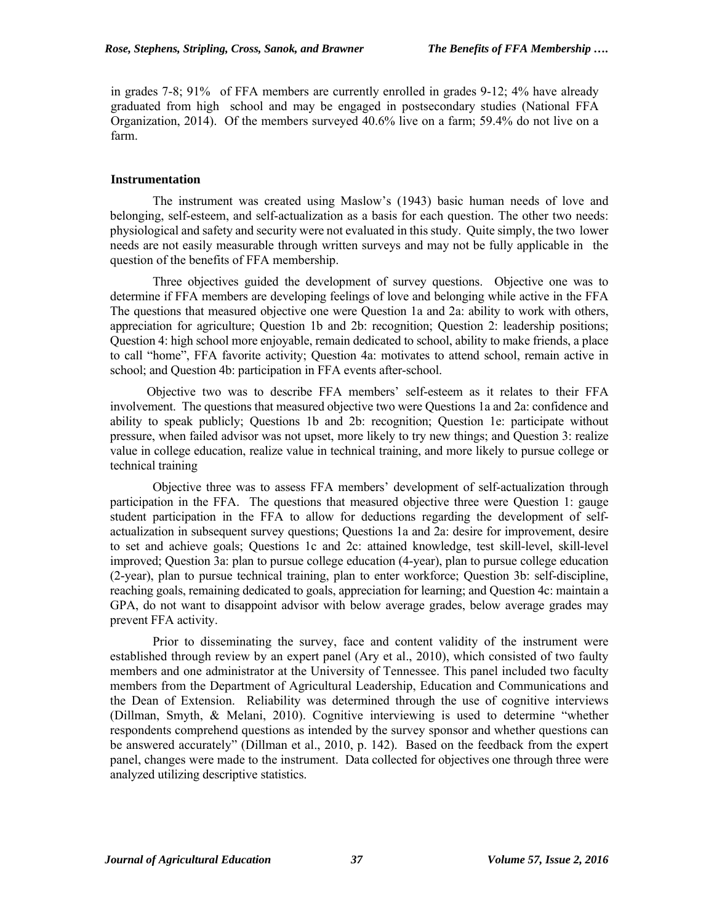in grades 7-8; 91% of FFA members are currently enrolled in grades 9-12; 4% have already graduated from high school and may be engaged in postsecondary studies (National FFA Organization, 2014). Of the members surveyed 40.6% live on a farm; 59.4% do not live on a farm.

### **Instrumentation**

The instrument was created using Maslow's (1943) basic human needs of love and belonging, self-esteem, and self-actualization as a basis for each question. The other two needs: physiological and safety and security were not evaluated in this study. Quite simply, the two lower needs are not easily measurable through written surveys and may not be fully applicable in the question of the benefits of FFA membership.

Three objectives guided the development of survey questions. Objective one was to determine if FFA members are developing feelings of love and belonging while active in the FFA The questions that measured objective one were Question 1a and 2a: ability to work with others, appreciation for agriculture; Question 1b and 2b: recognition; Question 2: leadership positions; Question 4: high school more enjoyable, remain dedicated to school, ability to make friends, a place to call "home", FFA favorite activity; Question 4a: motivates to attend school, remain active in school; and Question 4b: participation in FFA events after-school.

Objective two was to describe FFA members' self-esteem as it relates to their FFA involvement. The questions that measured objective two were Questions 1a and 2a: confidence and ability to speak publicly; Questions 1b and 2b: recognition; Question 1e: participate without pressure, when failed advisor was not upset, more likely to try new things; and Question 3: realize value in college education, realize value in technical training, and more likely to pursue college or technical training

Objective three was to assess FFA members' development of self-actualization through participation in the FFA. The questions that measured objective three were Question 1: gauge student participation in the FFA to allow for deductions regarding the development of selfactualization in subsequent survey questions; Questions 1a and 2a: desire for improvement, desire to set and achieve goals; Questions 1c and 2c: attained knowledge, test skill-level, skill-level improved; Question 3a: plan to pursue college education (4-year), plan to pursue college education (2-year), plan to pursue technical training, plan to enter workforce; Question 3b: self-discipline, reaching goals, remaining dedicated to goals, appreciation for learning; and Question 4c: maintain a GPA, do not want to disappoint advisor with below average grades, below average grades may prevent FFA activity.

Prior to disseminating the survey, face and content validity of the instrument were established through review by an expert panel (Ary et al., 2010), which consisted of two faulty members and one administrator at the University of Tennessee. This panel included two faculty members from the Department of Agricultural Leadership, Education and Communications and the Dean of Extension. Reliability was determined through the use of cognitive interviews (Dillman, Smyth, & Melani, 2010). Cognitive interviewing is used to determine "whether respondents comprehend questions as intended by the survey sponsor and whether questions can be answered accurately" (Dillman et al., 2010, p. 142). Based on the feedback from the expert panel, changes were made to the instrument. Data collected for objectives one through three were analyzed utilizing descriptive statistics.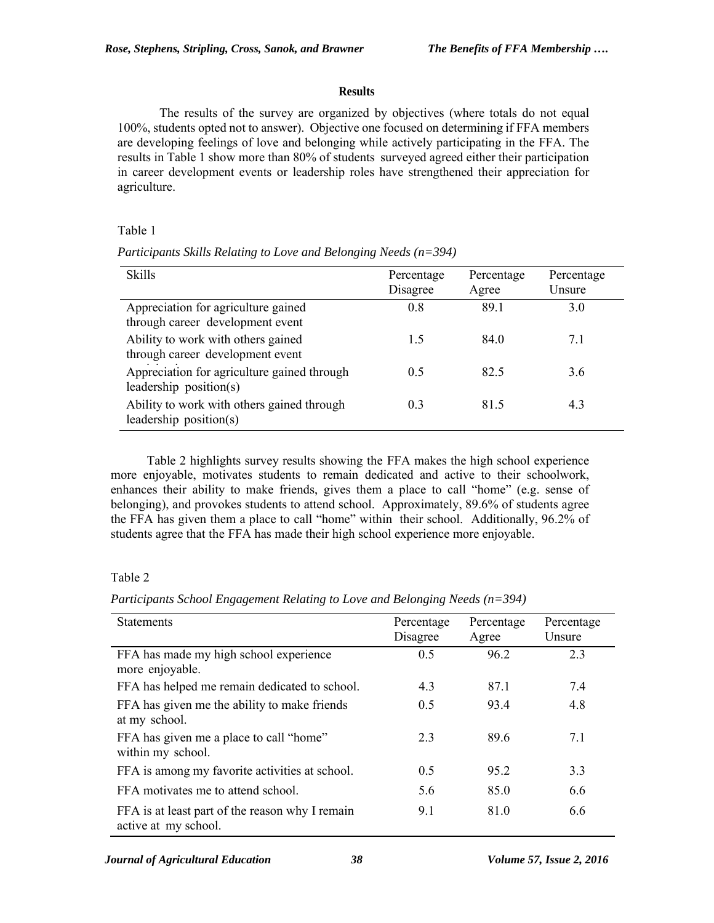## **Results**

The results of the survey are organized by objectives (where totals do not equal 100%, students opted not to answer). Objective one focused on determining if FFA members are developing feelings of love and belonging while actively participating in the FFA. The results in Table 1 show more than 80% of students surveyed agreed either their participation in career development events or leadership roles have strengthened their appreciation for agriculture.

Table 1

| <b>Skills</b>                                                           | Percentage<br>Disagree | Percentage<br>Agree | Percentage<br>Unsure |
|-------------------------------------------------------------------------|------------------------|---------------------|----------------------|
| Appreciation for agriculture gained<br>through career development event | 0.8                    | 89.1                | 3.0                  |
| Ability to work with others gained<br>through career development event  | 1.5                    | 84.0                | 7.1                  |
| Appreciation for agriculture gained through<br>leadership $position(s)$ | 0.5                    | 82.5                | 3.6                  |
| Ability to work with others gained through<br>leadership $position(s)$  | 0.3                    | 81.5                | 4.3                  |

*Participants Skills Relating to Love and Belonging Needs (n=394)* 

Table 2 highlights survey results showing the FFA makes the high school experience more enjoyable, motivates students to remain dedicated and active to their schoolwork, enhances their ability to make friends, gives them a place to call "home" (e.g. sense of belonging), and provokes students to attend school. Approximately, 89.6% of students agree the FFA has given them a place to call "home" within their school. Additionally, 96.2% of students agree that the FFA has made their high school experience more enjoyable.

## Table 2

*Participants School Engagement Relating to Love and Belonging Needs (n=394)* 

| <b>Statements</b>                                                       | Percentage<br>Disagree | Percentage<br>Agree | Percentage<br>Unsure |
|-------------------------------------------------------------------------|------------------------|---------------------|----------------------|
| FFA has made my high school experience<br>more enjoyable.               | 0.5                    | 96.2                | 2.3                  |
| FFA has helped me remain dedicated to school.                           | 4.3                    | 87.1                | 7.4                  |
| FFA has given me the ability to make friends<br>at my school.           | 0.5                    | 93.4                | 4.8                  |
| FFA has given me a place to call "home"<br>within my school.            | 2.3                    | 89.6                | 7.1                  |
| FFA is among my favorite activities at school.                          | 0.5                    | 95.2                | 3.3                  |
| FFA motivates me to attend school.                                      | 5.6                    | 85.0                | 6.6                  |
| FFA is at least part of the reason why I remain<br>active at my school. | 9.1                    | 81.0                | 6.6                  |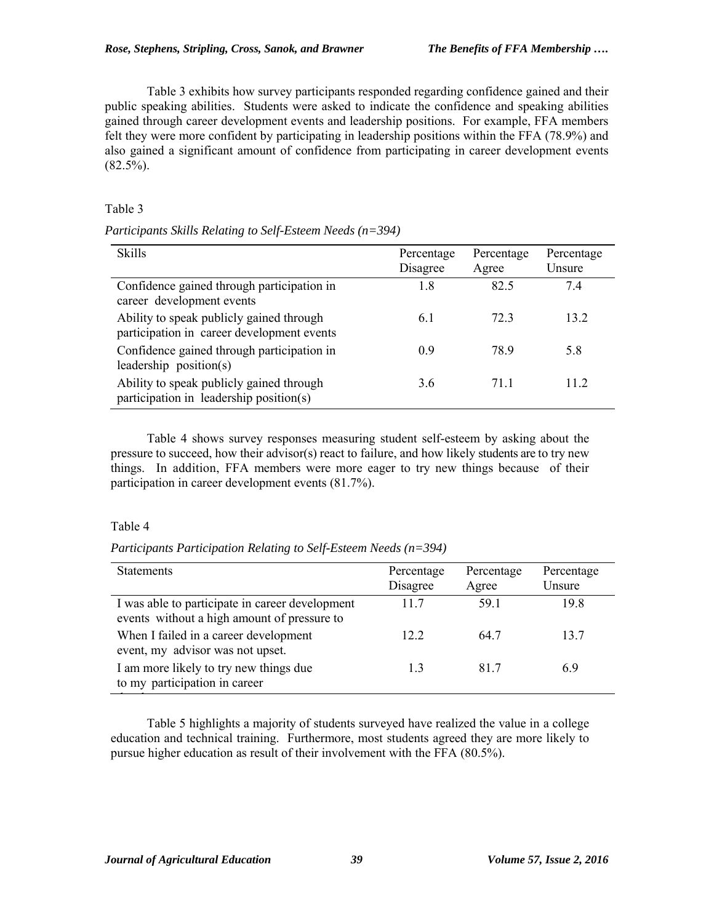Table 3 exhibits how survey participants responded regarding confidence gained and their public speaking abilities. Students were asked to indicate the confidence and speaking abilities gained through career development events and leadership positions. For example, FFA members felt they were more confident by participating in leadership positions within the FFA (78.9%) and also gained a significant amount of confidence from participating in career development events  $(82.5\%)$ .

# Table 3

*Participants Skills Relating to Self-Esteem Needs (n=394)* 

| <b>Skills</b>                                                                          | Percentage<br>Disagree | Percentage<br>Agree | Percentage<br>Unsure |
|----------------------------------------------------------------------------------------|------------------------|---------------------|----------------------|
| Confidence gained through participation in<br>career development events                | 1.8                    | 82.5                | 74                   |
| Ability to speak publicly gained through<br>participation in career development events | 6.1                    | 723                 | 13.2                 |
| Confidence gained through participation in<br>leadership $position(s)$                 | 0.9                    | 78.9                | 5.8                  |
| Ability to speak publicly gained through<br>participation in leadership position(s)    | 3.6                    | 711                 | 11 2                 |

Table 4 shows survey responses measuring student self-esteem by asking about the pressure to succeed, how their advisor(s) react to failure, and how likely students are to try new things. In addition, FFA members were more eager to try new things because of their participation in career development events (81.7%).

# Table 4

*Participants Participation Relating to Self-Esteem Needs (n=394)*

| <b>Statements</b>                                                                              | Percentage<br>Disagree | Percentage<br>Agree | Percentage<br>Unsure |
|------------------------------------------------------------------------------------------------|------------------------|---------------------|----------------------|
| I was able to participate in career development<br>events without a high amount of pressure to | 117                    | 59.1                | 198                  |
| When I failed in a career development<br>event, my advisor was not upset.                      | 12.2                   | 64.7                | 13.7                 |
| I am more likely to try new things due<br>to my participation in career                        |                        | 817                 | 69                   |
|                                                                                                |                        |                     |                      |

Table 5 highlights a majority of students surveyed have realized the value in a college education and technical training. Furthermore, most students agreed they are more likely to pursue higher education as result of their involvement with the FFA (80.5%).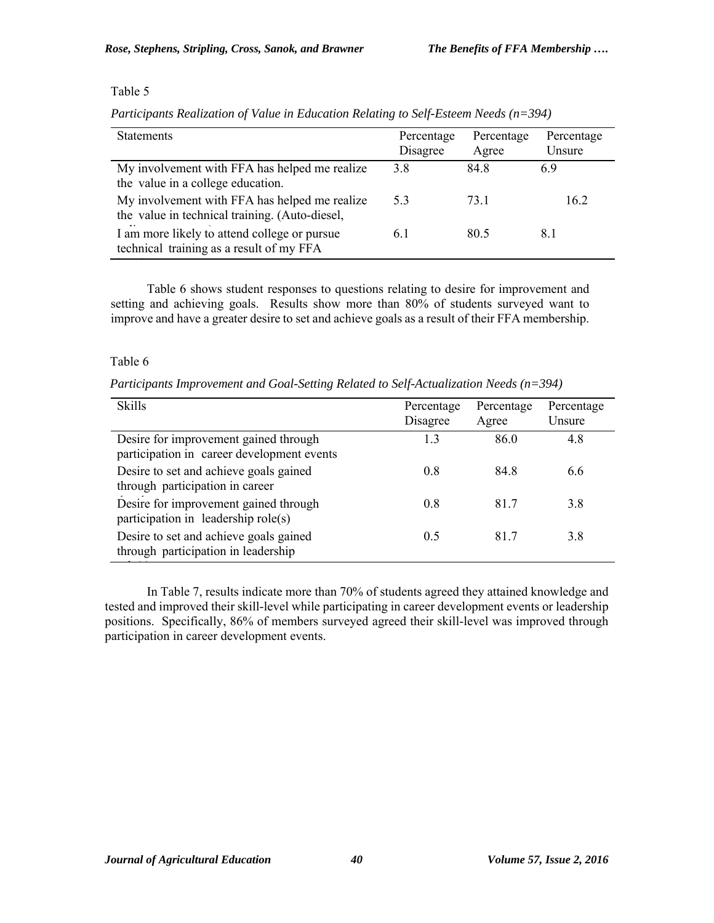# Table 5

*Participants Realization of Value in Education Relating to Self-Esteem Needs (n=394)* 

| <b>Statements</b>                                                                               | Percentage<br>Disagree | Percentage<br>Agree | Percentage<br>Unsure |
|-------------------------------------------------------------------------------------------------|------------------------|---------------------|----------------------|
| My involvement with FFA has helped me realize<br>the value in a college education.              | 3.8                    | 84.8                | 6.9                  |
| My involvement with FFA has helped me realize<br>the value in technical training. (Auto-diesel, | 5.3                    | 73 1                | 16.2                 |
| I am more likely to attend college or pursue<br>technical training as a result of my FFA        | 61                     | 80.5                | 8.1                  |
|                                                                                                 |                        |                     |                      |

Table 6 shows student responses to questions relating to desire for improvement and setting and achieving goals. Results show more than 80% of students surveyed want to improve and have a greater desire to set and achieve goals as a result of their FFA membership.

#### Table 6

*Participants Improvement and Goal-Setting Related to Self-Actualization Needs (n=394)*

| <b>Skills</b>                                                                       | Percentage<br>Disagree | Percentage<br>Agree | Percentage<br>Unsure |
|-------------------------------------------------------------------------------------|------------------------|---------------------|----------------------|
| Desire for improvement gained through<br>participation in career development events | 1.3                    | 86.0                | 4.8                  |
| Desire to set and achieve goals gained<br>through participation in career           | 0.8                    | 848                 | 6.6                  |
| Desire for improvement gained through<br>participation in leadership role(s)        | 0.8                    | 817                 | 3.8                  |
| Desire to set and achieve goals gained<br>through participation in leadership       | 0.5                    | 817                 | 3.8                  |
|                                                                                     |                        |                     |                      |

In Table 7, results indicate more than 70% of students agreed they attained knowledge and tested and improved their skill-level while participating in career development events or leadership positions. Specifically, 86% of members surveyed agreed their skill-level was improved through participation in career development events.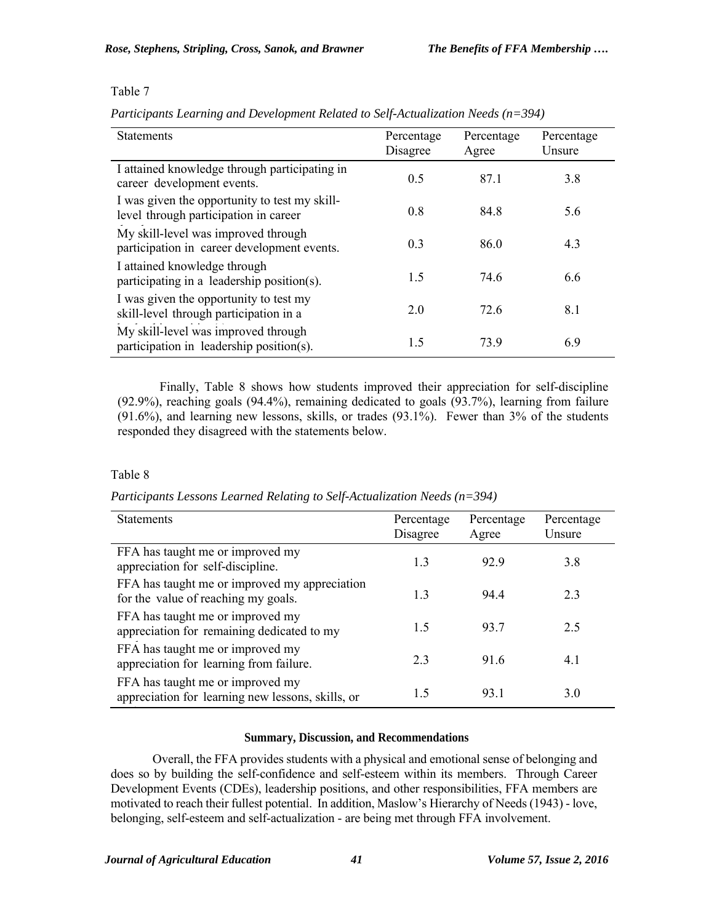### Table 7

*Participants Learning and Development Related to Self-Actualization Needs (n=394)* 

| <b>Statements</b>                                                                      | Percentage<br>Disagree | Percentage<br>Agree | Percentage<br>Unsure |
|----------------------------------------------------------------------------------------|------------------------|---------------------|----------------------|
| I attained knowledge through participating in<br>career development events.            | 0.5                    | 87.1                | 3.8                  |
| I was given the opportunity to test my skill-<br>level through participation in career | 0.8                    | 84.8                | 5.6                  |
| My skill-level was improved through<br>participation in career development events.     | 0.3                    | 86.0                | 4.3                  |
| I attained knowledge through<br>participating in a leadership position(s).             | 1.5                    | 74.6                | 6.6                  |
| I was given the opportunity to test my<br>skill-level through participation in a       | 2.0                    | 72.6                | 8.1                  |
| My skill-level was improved through<br>participation in leadership position(s).        | 1.5                    | 739                 | 6.9                  |

Finally, Table 8 shows how students improved their appreciation for self-discipline (92.9%), reaching goals (94.4%), remaining dedicated to goals (93.7%), learning from failure (91.6%), and learning new lessons, skills, or trades (93.1%). Fewer than 3% of the students responded they disagreed with the statements below.

# Table 8

*Participants Lessons Learned Relating to Self-Actualization Needs (n=394)* 

| <b>Statements</b>                                                                     | Percentage<br>Disagree | Percentage<br>Agree | Percentage<br>Unsure |
|---------------------------------------------------------------------------------------|------------------------|---------------------|----------------------|
| FFA has taught me or improved my<br>appreciation for self-discipline.                 | 1.3                    | 929                 | 3.8                  |
| FFA has taught me or improved my appreciation<br>for the value of reaching my goals.  | 1.3                    | 944                 | 23                   |
| FFA has taught me or improved my<br>appreciation for remaining dedicated to my        | 1.5                    | 93.7                | 2.5                  |
| FFA has taught me or improved my<br>appreciation for learning from failure.           | 23                     | 916                 | 4.1                  |
| FFA has taught me or improved my<br>appreciation for learning new lessons, skills, or | 15                     | 93.1                | 3.0                  |
|                                                                                       |                        |                     |                      |

## **Summary, Discussion, and Recommendations**

Overall, the FFA provides students with a physical and emotional sense of belonging and does so by building the self-confidence and self-esteem within its members. Through Career Development Events (CDEs), leadership positions, and other responsibilities, FFA members are motivated to reach their fullest potential. In addition, Maslow's Hierarchy of Needs (1943) - love, belonging, self-esteem and self-actualization - are being met through FFA involvement.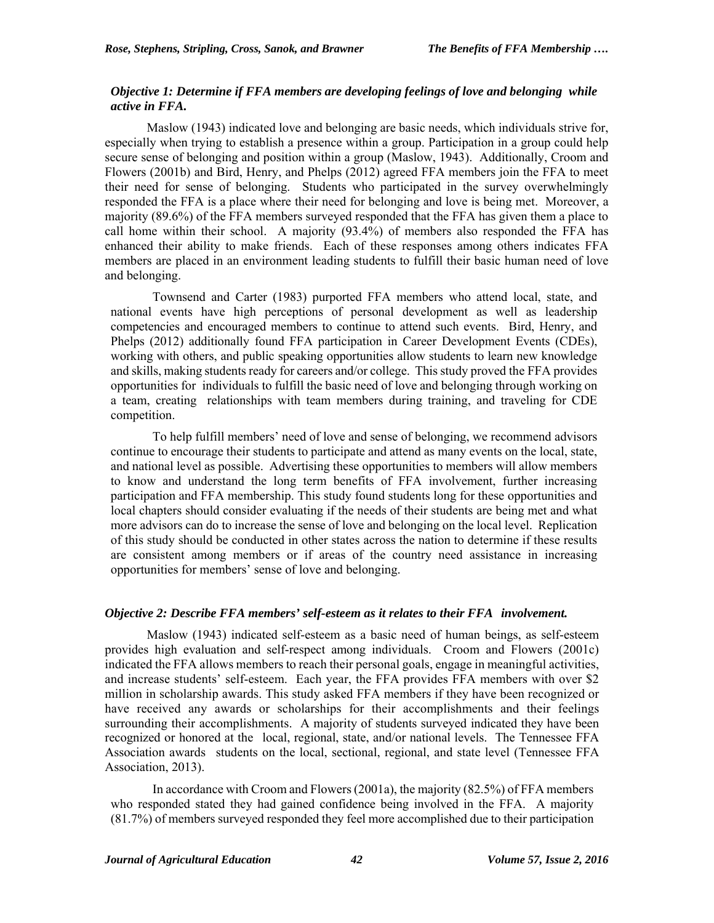### *Objective 1: Determine if FFA members are developing feelings of love and belonging while active in FFA.*

Maslow (1943) indicated love and belonging are basic needs, which individuals strive for, especially when trying to establish a presence within a group. Participation in a group could help secure sense of belonging and position within a group (Maslow, 1943). Additionally, Croom and Flowers (2001b) and Bird, Henry, and Phelps (2012) agreed FFA members join the FFA to meet their need for sense of belonging. Students who participated in the survey overwhelmingly responded the FFA is a place where their need for belonging and love is being met. Moreover, a majority (89.6%) of the FFA members surveyed responded that the FFA has given them a place to call home within their school. A majority (93.4%) of members also responded the FFA has enhanced their ability to make friends. Each of these responses among others indicates FFA members are placed in an environment leading students to fulfill their basic human need of love and belonging.

Townsend and Carter (1983) purported FFA members who attend local, state, and national events have high perceptions of personal development as well as leadership competencies and encouraged members to continue to attend such events. Bird, Henry, and Phelps (2012) additionally found FFA participation in Career Development Events (CDEs), working with others, and public speaking opportunities allow students to learn new knowledge and skills, making students ready for careers and/or college. This study proved the FFA provides opportunities for individuals to fulfill the basic need of love and belonging through working on a team, creating relationships with team members during training, and traveling for CDE competition.

To help fulfill members' need of love and sense of belonging, we recommend advisors continue to encourage their students to participate and attend as many events on the local, state, and national level as possible. Advertising these opportunities to members will allow members to know and understand the long term benefits of FFA involvement, further increasing participation and FFA membership. This study found students long for these opportunities and local chapters should consider evaluating if the needs of their students are being met and what more advisors can do to increase the sense of love and belonging on the local level. Replication of this study should be conducted in other states across the nation to determine if these results are consistent among members or if areas of the country need assistance in increasing opportunities for members' sense of love and belonging.

#### *Objective 2: Describe FFA members' self-esteem as it relates to their FFA involvement.*

Maslow (1943) indicated self-esteem as a basic need of human beings, as self-esteem provides high evaluation and self-respect among individuals. Croom and Flowers (2001c) indicated the FFA allows members to reach their personal goals, engage in meaningful activities, and increase students' self-esteem. Each year, the FFA provides FFA members with over \$2 million in scholarship awards. This study asked FFA members if they have been recognized or have received any awards or scholarships for their accomplishments and their feelings surrounding their accomplishments. A majority of students surveyed indicated they have been recognized or honored at the local, regional, state, and/or national levels. The Tennessee FFA Association awards students on the local, sectional, regional, and state level (Tennessee FFA Association, 2013).

In accordance with Croom and Flowers (2001a), the majority (82.5%) of FFA members who responded stated they had gained confidence being involved in the FFA. A majority (81.7%) of members surveyed responded they feel more accomplished due to their participation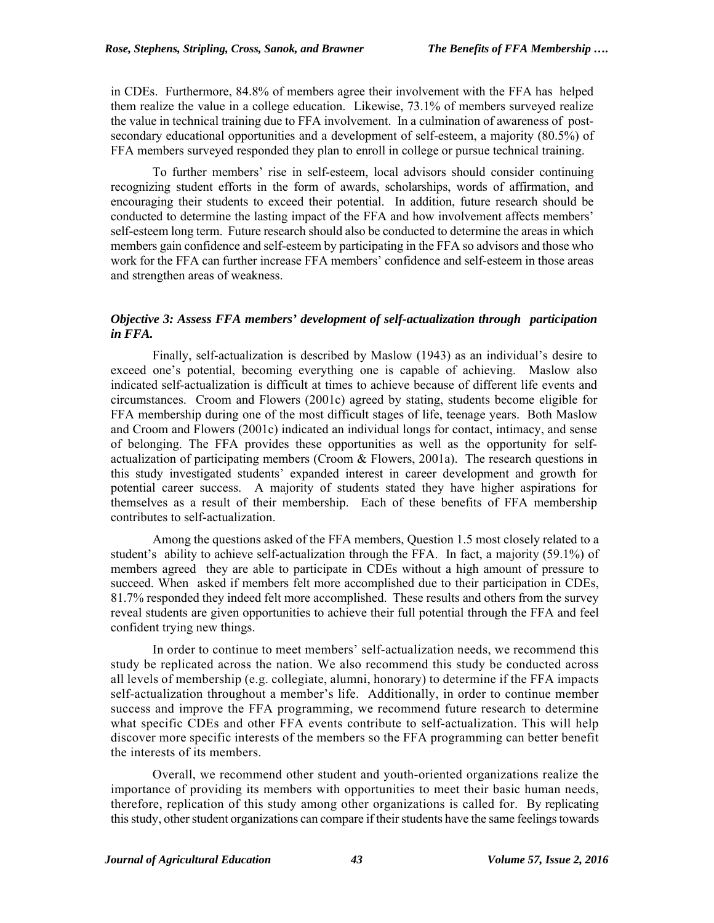in CDEs. Furthermore, 84.8% of members agree their involvement with the FFA has helped them realize the value in a college education. Likewise, 73.1% of members surveyed realize the value in technical training due to FFA involvement. In a culmination of awareness of postsecondary educational opportunities and a development of self-esteem, a majority (80.5%) of FFA members surveyed responded they plan to enroll in college or pursue technical training.

To further members' rise in self-esteem, local advisors should consider continuing recognizing student efforts in the form of awards, scholarships, words of affirmation, and encouraging their students to exceed their potential. In addition, future research should be conducted to determine the lasting impact of the FFA and how involvement affects members' self-esteem long term. Future research should also be conducted to determine the areas in which members gain confidence and self-esteem by participating in the FFA so advisors and those who work for the FFA can further increase FFA members' confidence and self-esteem in those areas and strengthen areas of weakness.

## *Objective 3: Assess FFA members' development of self-actualization through participation in FFA.*

Finally, self-actualization is described by Maslow (1943) as an individual's desire to exceed one's potential, becoming everything one is capable of achieving. Maslow also indicated self-actualization is difficult at times to achieve because of different life events and circumstances. Croom and Flowers (2001c) agreed by stating, students become eligible for FFA membership during one of the most difficult stages of life, teenage years. Both Maslow and Croom and Flowers (2001c) indicated an individual longs for contact, intimacy, and sense of belonging. The FFA provides these opportunities as well as the opportunity for selfactualization of participating members (Croom & Flowers, 2001a). The research questions in this study investigated students' expanded interest in career development and growth for potential career success. A majority of students stated they have higher aspirations for themselves as a result of their membership. Each of these benefits of FFA membership contributes to self-actualization.

Among the questions asked of the FFA members, Question 1.5 most closely related to a student's ability to achieve self-actualization through the FFA. In fact, a majority (59.1%) of members agreed they are able to participate in CDEs without a high amount of pressure to succeed. When asked if members felt more accomplished due to their participation in CDEs, 81.7% responded they indeed felt more accomplished. These results and others from the survey reveal students are given opportunities to achieve their full potential through the FFA and feel confident trying new things.

In order to continue to meet members' self-actualization needs, we recommend this study be replicated across the nation. We also recommend this study be conducted across all levels of membership (e.g. collegiate, alumni, honorary) to determine if the FFA impacts self-actualization throughout a member's life. Additionally, in order to continue member success and improve the FFA programming, we recommend future research to determine what specific CDEs and other FFA events contribute to self-actualization. This will help discover more specific interests of the members so the FFA programming can better benefit the interests of its members.

Overall, we recommend other student and youth-oriented organizations realize the importance of providing its members with opportunities to meet their basic human needs, therefore, replication of this study among other organizations is called for. By replicating this study, other student organizations can compare if their students have the same feelings towards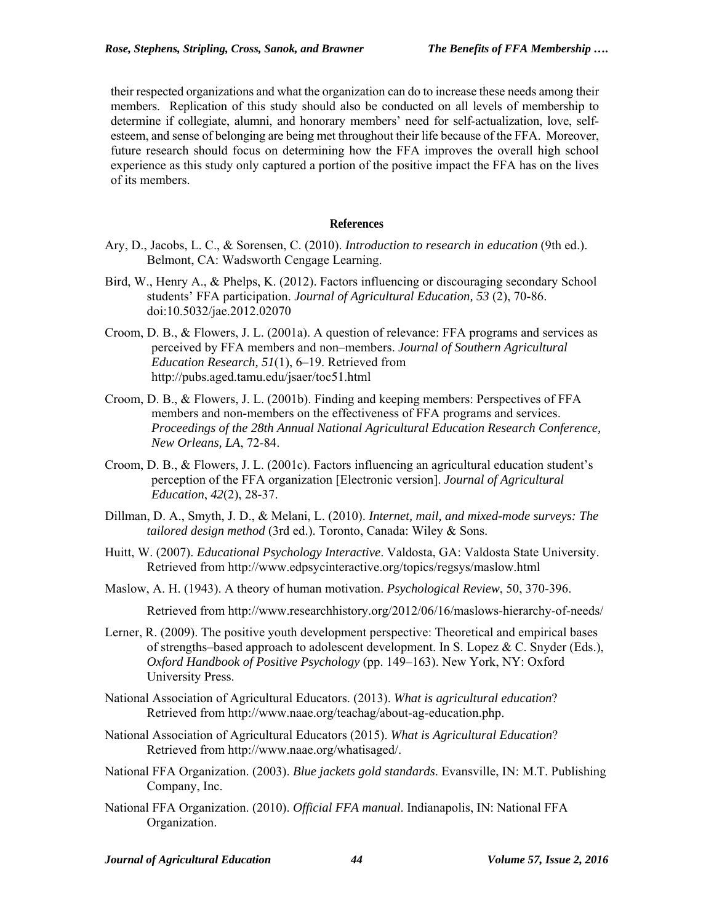their respected organizations and what the organization can do to increase these needs among their members. Replication of this study should also be conducted on all levels of membership to determine if collegiate, alumni, and honorary members' need for self-actualization, love, selfesteem, and sense of belonging are being met throughout their life because of the FFA. Moreover, future research should focus on determining how the FFA improves the overall high school experience as this study only captured a portion of the positive impact the FFA has on the lives of its members.

#### **References**

- Ary, D., Jacobs, L. C., & Sorensen, C. (2010). *Introduction to research in education* (9th ed.). Belmont, CA: Wadsworth Cengage Learning.
- Bird, W., Henry A., & Phelps, K. (2012). Factors influencing or discouraging secondary School students' FFA participation. *Journal of Agricultural Education, 53* (2), 70-86. doi:10.5032/jae.2012.02070
- Croom, D. B., & Flowers, J. L. (2001a). A question of relevance: FFA programs and services as perceived by FFA members and non–members. *Journal of Southern Agricultural Education Research, 51*(1), 6–19. Retrieved from http://pubs.aged.tamu.edu/jsaer/toc51.html
- Croom, D. B., & Flowers, J. L. (2001b). Finding and keeping members: Perspectives of FFA members and non-members on the effectiveness of FFA programs and services. *Proceedings of the 28th Annual National Agricultural Education Research Conference, New Orleans, LA*, 72-84.
- Croom, D. B., & Flowers, J. L. (2001c). Factors influencing an agricultural education student's perception of the FFA organization [Electronic version]. *Journal of Agricultural Education*, *42*(2), 28-37.
- Dillman, D. A., Smyth, J. D., & Melani, L. (2010). *Internet, mail, and mixed-mode surveys: The tailored design method* (3rd ed.). Toronto, Canada: Wiley & Sons.
- Huitt, W. (2007). *Educational Psychology Interactive*. Valdosta, GA: Valdosta State University. Retrieved from http://www.edpsycinteractive.org/topics/regsys/maslow.html
- Maslow, A. H. (1943). A theory of human motivation. *Psychological Review*, 50, 370-396.

Retrieved from http://www.researchhistory.org/2012/06/16/maslows-hierarchy-of-needs/

- Lerner, R. (2009). The positive youth development perspective: Theoretical and empirical bases of strengths–based approach to adolescent development. In S. Lopez & C. Snyder (Eds.), *Oxford Handbook of Positive Psychology* (pp. 149–163). New York, NY: Oxford University Press.
- National Association of Agricultural Educators. (2013). *What is agricultural education*? Retrieved from http://www.naae.org/teachag/about-ag-education.php.
- National Association of Agricultural Educators (2015). *What is Agricultural Education*? Retrieved from http://www.naae.org/whatisaged/.
- National FFA Organization. (2003). *Blue jackets gold standards*. Evansville, IN: M.T. Publishing Company, Inc.
- National FFA Organization. (2010). *Official FFA manual*. Indianapolis, IN: National FFA Organization.